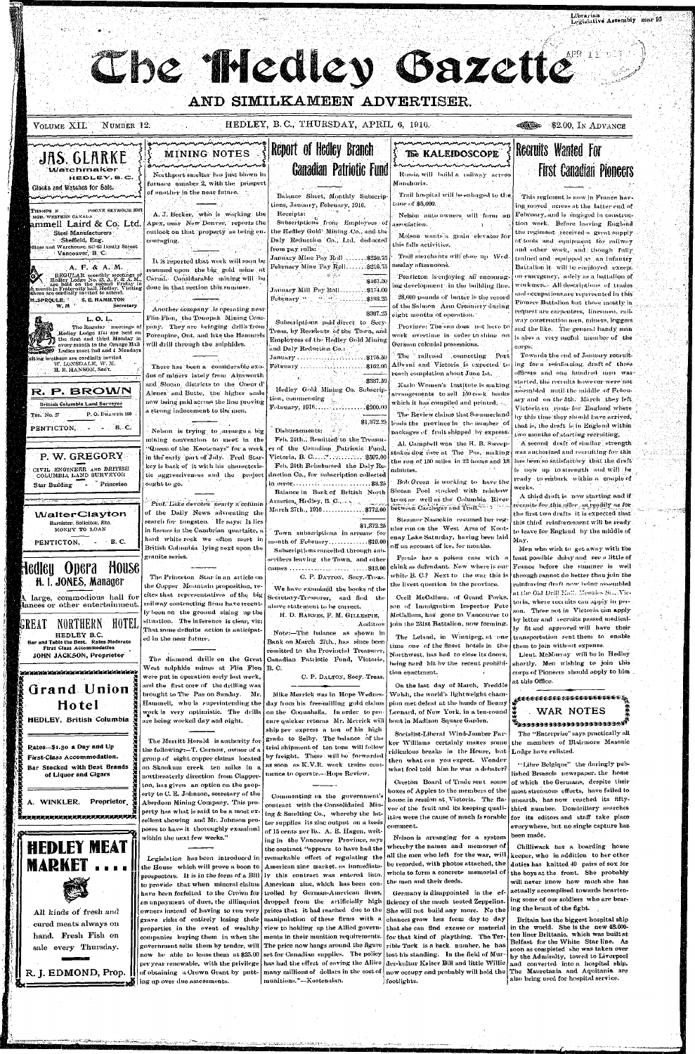

large, commodious hall for lances or other entertainment.

GREAT NORTHERN HOTE HEDLEY B.C. and Table the Best. Rates Moderate First Class Accommodation JOHN JACKSON, Proprietor

# Grand Union Hotel HEDLEY, British Columbia

Rates-\$1.50 a Day and Up First-Class Accommodation. Bar Stocked with Best Brands of Liquor and Cigars

A. WINKLER. Proprietor.

Ranananananananananananan





All kinds of fresh and cured meats always on hand. Fresh Fish on sale every Thursday.

R. J. EDMOND, Prop.

cites that representatives of the big railway contracting firms have recently been on the ground sizing up the situation. The inference is clear, viz; That some definite action is anticipated in the near future.

the Copper Moantain proposition, re-

The diamond drills on the Great West sulphide mines at Flin Flon  $B$ . C. were put in operation early last week, and the first core of the drilling was brought to The Pas on Sunday. Mr. Hammell, who is superintending the work is very optimistic. The drills are being worked day and night.

The Merritt Herald is authority for the following:—T. Carnow, owner of a group of eight copper claims located on Skookum creek ten miles in a northeasterly direction from Clapper ton, has given an option on the property to C. E. Johnson, secretary of the Aberdeen Mining Company. This property has what is said to be a most excellent showing and Mr. Johnson proposes to have it thoroughly examined within the next few weeks."

Legislation has been introduced in the House which will prove a boon to prospectors. It is in the form of a Bill to provide that when mineral claims have been forfeited to the Crown for an unpayment of dues, the dilinquint owners instead of having to run very grave risks of entirely losing their properties in the event of wealthy companies buying them in when the government sells them by tender, will now be able to lease them at \$25.00 set for Canadian supplies. The policy per year renewable, with the privilege has had the effect of saving the Allies ing up over due assessments.

Secretary-Treasurer, and find the above statement to be correct. H. D. BARNES, F. M. GILLESPIE,

We have examined the books of the

 $\mathcal{F}_\bullet$  . Auditors Note:-The balance as shown in Bank on March 27th., has since been remitted to the Provincial Treasurer, Canadian Patriotic Fund, Victoria

C. P. DALTON, Secy. Treas.

Mike Merrick was in Hope Wednesday from his free-milling gold claims on the Coquahalla. In order to pro cure quicker returns Mr. Merrick will ship per express a ton of his high grade to Selby. The balance of the trial shipment of ten tons will follow by freight. These will be forwarded as soon as  $\rm K. V.R.$  work -trains-com mence to operate....Hope Review.

Commenting on the government's contract with the Consolidated Min ing & Smelting Co., whereby the latter supplies its zinc output on a basis of 15 cents per lb., A. E. Hagen, writing in the Vancouver Province, says the contract "appears to have had the remarkable effect of regulating the American zinc market, as immediately this contract was entered into American zine, which has been controlled by German-American firms, dropped from the artificially high prices that it had reached due to the manipulation of these firms with a view to holding up the Allied governments in their munition requirements. The price now hangs around the figure munitions."-Kootenaian.

Cecil McCatlum, of Grand Forks. son of Immigration Inspector Pete McCallum, has gone to Vancouver to join the 231st Battalion, now forming.

time one of the finest hotels in the Northwest, has had to close its doors, being hard hit by the recent prohibition enactment.

On the last day of March, Freddie Walsh, the world's lightweight champion met defeat at the hands of Benny Leonard, of New York, in a ten-round bout in Madison Square Garden.

Socialist-Liberal Wind-Jamber Parker Williams certainly makes some ridiculous breaks in the House, but then what-can you-expect. Wonder what fool told him he was a debater?

Creston Board of Trade sent some boxes of Apples to the members of the house in session at Victoria. The flavor of the fruit and its keeping qualiities were the cause of much favorable comment.

Nelson is arranging for a system whereby the names and memories of all the men who left for the war, will be recorded, with photos attached, the whole to form a concrete memorial of the men and their deeds.

Germany is disappointed in the ef ficiency of the much tooted Zeppelins. She will not build any more. No the chances grow less from day to day that she can find excuse or material for that kind of plaything. The Terrible Turk is a back number, he has lost his standing. In the field of Mur der-kultur Kaiser Bill and little Willie of obtaining a Crown Grant by putt- many millions of dollars in the cost of now occupy and probably will hold the The Mauretania and Aquitania are footlights.

at the Old Dell $\operatorname{End}_n$  Menzies  $\operatorname{St}_n$  . Victoria, where recruits can apply in person. Those not in Victoria can apply by letter and recruits passed medically fit and approved will have their The Leland, in Winnipeg, at one transportation sent them to enable them to join without expense.

> Lieut. McMurray will be in Hedley shortly. Men wishing to join this corps of Pioneers should apply to him at this Office.

## <sub>₩</sub>€€€€€€€€€€€€€€€€€€€€€€€€ **WAR NOTES Wasana sana sana sana sana A**

The "Enterprise" says practically all the members of Blairmore Masonic Lodge have enlisted.

"Libre Belgique" the daringly published Brussels newspaper, the home of which the Germans, despite their most strenuous efforts, have failed to unearth, has now reached its fiftythird number. Domiciliary searches for its editors and staff take place everywhere, but no single capture has been made.

Chilliwack has a boarding house keeper, who in addition to her other duties has knitted 40 pairs of sox for the boys at the front. She probably will never know how much she has actually accomplised towards heartening some of our soldiers who are bearing the brunt of the fight.

Britain has the biggest hospital ship in the world. She is the new 48.000ton liner Brittanic, which was built at Belfast for the White Star line. As soon as completed she was taken over by the Admiralty, towed to Liverpool and converted into a hospital ship. also being used for hospital service.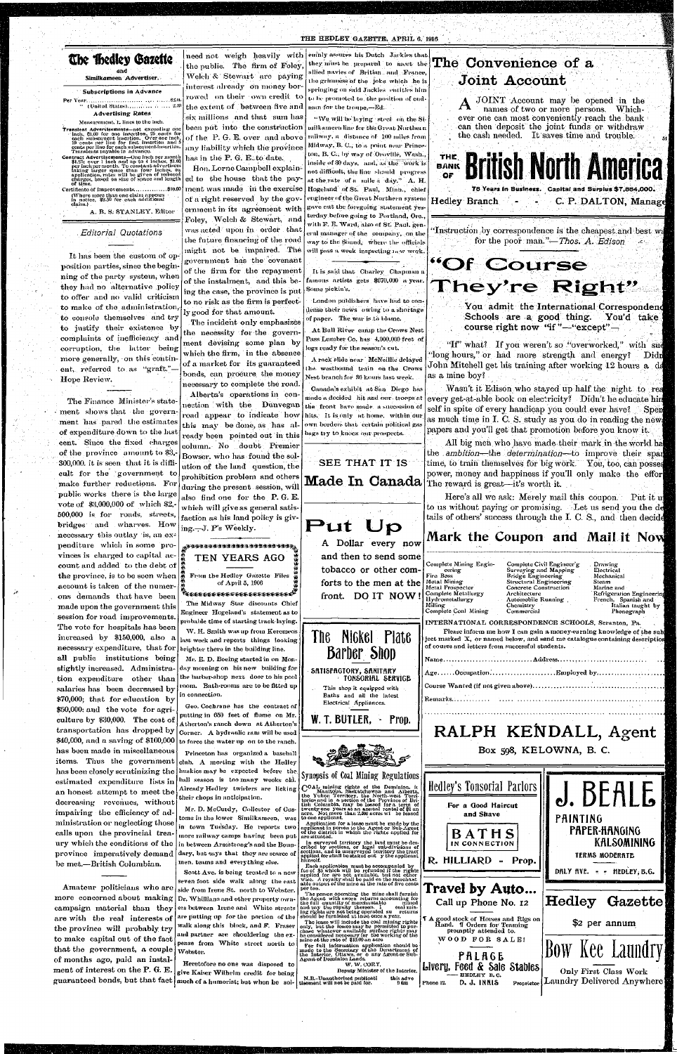#### THE HEDLEY GAZETTE, APRIL 6, 1916

### The Bedley Gazette ' . ' an <sup>d</sup>

Similkameen Advertiser.

#### Subscriptions in Advance

Per Year... .., ...fJ.dl. " (United .StiitesI --'.;">(l Advertising Rates

#### Measurement. 1- lines to the inch.

Transient Advertisements—not exceeding one inch, Sl.WI for one insertion. 25,cents for each subsequent insertion. Over one inch, 10'cents per line for first insertion and 5 cents per lino for each subsequent insertion. Transients payable in advance.

Contract Advertisements—One inch per month<br>S1.25; over 1 inch and up to 4 inches, \$1.00<br>per inch per inch not up to the constant advertisers<br>taking larger space than four inches, on<br>application, rates will be given of redu

Certificate of Improvements...............\$10.00 (Where more than one claim appears in notice, \$2.50 for each additional claim.)

A. B. S. STANLEY. Editor

It has been the custom of opposition parties, since the beginning of the party system, when they had no alternative policy to offer and no valid criticism to make of the administration, to console themselves and try to justify their existence by complaints of inefficiency and corruption, the latter being more generally, on this continent, referred to as "graft." Hope Review.

, *Editorial Quotations* 

need not weigh heavily with the public. The firm of Foley, Welch & Stewart are paying interest already on money borrowed on their own credit to the extent of between five and six millions and that sum has been put into the construction of the P. G. E. over and above

any liability which the province has in the P. G. E.,to date. Hon. Lome Campbell explained to the house that the payment was made in the exercise of a right reserved by the gov-

ernment in its agreement with Foley. Welch & Stewart, and was acted upon in order that the future financing of the road  $might$  not be impaired. The government has the covenant of the firm for the repayment of the instalment, and this being the case, the province is put to no risk as the firm is perfectly good for that amount.

The Finance Minister's state ment shows that the government has pared the estimates of expenditure down to the last cent. Since the fixed charges of the province amount to \$3, 300,000. it is seen that it is difficult for the government to make further reductions. For public, works there is the large vote of \$3,000,000 of which \$2, 500,000 is for roads, streets, bridges and wharves. How necessary this outlay is, an expenditure which in some provinces is charged to capital account and added to the debt of the province, is to be seen when  $\frac{2}{3}$ account is taken of the numer- $\frac{1}{2}$ ons demands that have been made upon the government this session for road improvements. The vote for hospitals has been increased by \$150,000, also a necessary expenditure, that for all public institutions being slightly increased. Administration expenditure other than salaries has been decreased by \$70,000; that for education by \$50,000: and the vote for agriculture by \$30,000. The cost of transportation has dropped by \$40,000, and a saving of \$100,000 has been made in miscellaneous items. Thus the government has been closely scrutinizing the estimated expenditure lists in an honest attempt to meet the decreasing revenues, without impairing the efficiency of administration or neglecting those calls upon the provincial treaury which the conditions of the province imperatively demand be met.—British Columbian.

The incident only emphasizes the necessity for the government devising some plan by which the firm, in the absence of a market for its guaranteed bonds, can proeure, the money necessary to complete the road.

Alberta's operations in connection with the Dunvegan road appear to indicate how this may be done, as has already been pointed out in this column. No doubt Premier Bowser, who has found the solution of the land question, the prohibition problem and others during the present session, will also find one for the P. G. E. which will give as general satisfaction as his land policy is giving.—J. P's Weekly.

JOINT Account may be opened in the names of two or more persons. Whichnames of two or more persons. ever one can most conveniently reach the bank can then deposit the joint funds or withdraw the cash needed. It saves time and trouble.

# \* 6 99 They're Right'

You admit the International Correspondend **Schools are a good thing. You'd take course right now "if"**—**"except"—** 

"If" what? If you weren't so "overworked," with suc "long hours," or had more strength and energy? Didn John Mitchell get his training after working 12 hours a *di*as a mine boy?

Wasn't it Edison who stayed up half the night to rea every get-at-able book on electricity? Didn't he educate hin self in spite of every handicap you could ever have? Spen as much time in I. C. S. study as you do in reading the new papers and you'll get that promotion before you know it.

Here's all we ask: Merely mail this coupon. Put it u to us without paying or promising. Let us send you the details of others' success through the I. C. S., and then decide

Amateur politicians who are more concerned about making campaign material than they are with the real interests of the province will probably try to make capital out of the fact that the government, a couple of months ago, paid an instalment of interest on the P. G. E.

toms in the lower Similkameen, was in town Tuesday. He reports two more railway camps having been put in between Armstrong's and the Boundary, but says that they are scarce of men, teams and everything else.

seven foot side walk along the east side from Irene St. north to Webster. Dr. Whillians and other property owners between lrene and White streets are putting up for the portion of the walk along this block, and F. Fraser and partner  $\,$  are  $\,$  shouldering  $\,$  the expense from White street north to Webster.

guaranteed bonds, but that fact much of a humorist; but when he sol-Heretofore no one was disposed to give Kaiser Wilhelm credit for being

For full information application should be made to the Seorotary of tho Denartment of the Interior, Ottawa, or o any Agent or Sub-Agent of Dominion Lands. Deputy Minister of the Interior. Hand. I Orders for Teaming promptly attended to. WOOD FOR SALE! **J.BEAL& PAINTING PAPER-HANGING KALSOMINING**  TERMS MODERATE DALY AVE.  $+$  HEDLEY, B.G. **Hedley Gazette \$2 per annum PALA6E**  Livery, Feed & Sale Stables this advc Phono 12. HEDLEY B.C. D. J. INNIS Bow Kee Laundry Only First Class Work Proprietor | Laundry Delivered Anywhere

# **The Convenience of a Joint Account**

51

**British North Americ** THE BANK OF **7 8 Years in Business. Capita/ and Surplus \$7,884,000 . Hedley Branch**  95 L. **C. P. DALTON, Manage**  rej.

"Instruction by correspondence is the cheapest and best wa for the poor man."—*Thos. A. Edison* ^



**Made In Canada**  The reward is great—it's worth it. . All big men who have made their mark in the world **hal**  the *ambition*—the *determination*—to improve their spail time, to train themselves for big work. You, too, can posses power, money and happiness if you'll only make the efforl



W. VORY,



Drawing **Electrical** Mechanical Steam Marine and kefrigeration Engineeri

French, Spanish and Italian taught by Phonograph

N.H.-Unauthorized publicati tisouient will not be paid for.

emnly assures his Dutch Jackies that they must be prepared to meet the allied navies of Britian and France, the grimuess of the joke which he is springing on said Jackies entitles him to be promoted to, the position of endman for the troupe,—Ed.

"We will be laying steel on the Similkameen line for the Great Northern railway, a distance of  $100$  miles from Midway, B. C., to a point near Princeton, B. C., by way of Oroville, Wash., inside of 30 days, and, as the work is not difficult, the line should progress at the rate of a mile a day."  $A$ . H. Hogeland of St. Paul, Minn., chief engineer of the Great Northern system gave out the foregoing statement yesterday before going to Portland, Ore., with F. E. Ward, also of St. Paul, general manager of the company, on the way to the Sound, where the officials will pass a week inspecting new work.

It is said that Charley Chapman a famous artists gets \$670,000 a year. Some pickin's.

London publishers have had to condense their news owing to a shortage of paper. The war is to blame.

At Bull River camp the Crows Nest Pass Lumber Co. has 4,000,000 feet of logs ready for the season's cut.

A rock slide near McNeillie delayed the westbound train on the Crows Nest branch for 36 hours last week.

Canada's exhibit at San Diego has made a decided hit and our . troops at the front have made a succession of hits. It is only at home, within our own borders that certain political ga. bags try to knock our prospects.

# SEE THAT IT IS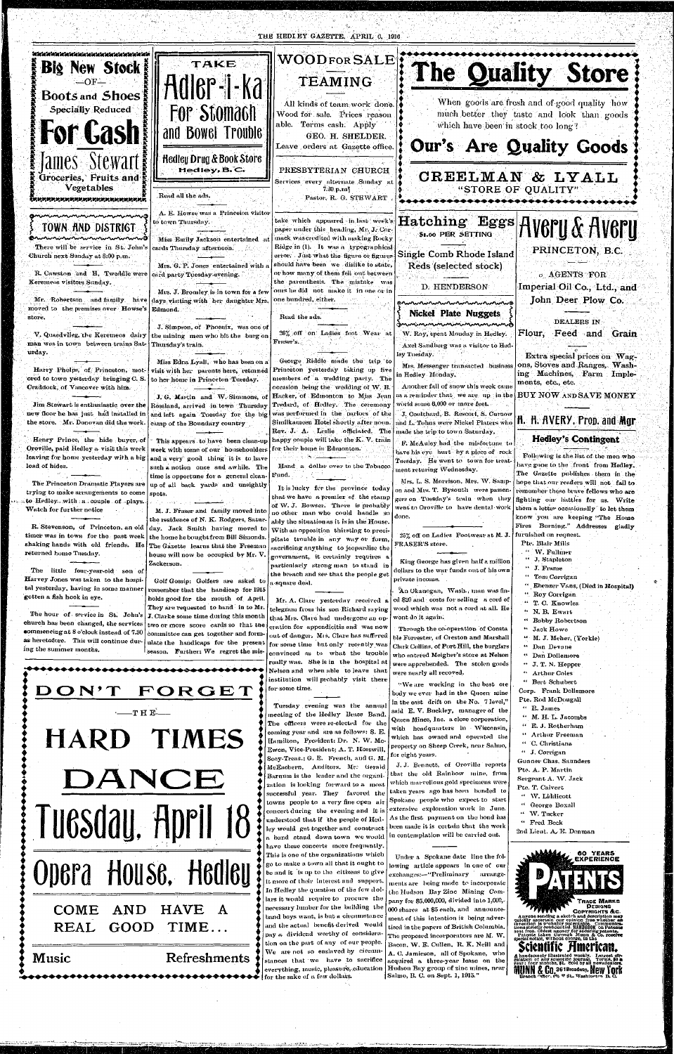THE HEDIEY GAZETTE, APRIL 6, 1916



The hour of service in St. John's  $J$ . Clarke some time during this month remember that the handicap for 1915 holds good for the month of April. They are requested to hand in to Mr. two or more score cards so that the committee can get together and formulate the handicaps for the present

Mr. A. Clare yesterday received a telegram from his son Richard saying that Mrs. Clare had undergone an op-

gotten a fish hook in eye.

church has been changed, the services •ommencinga t 8 o'clock instead of 7.30 as heretofore. This will continue dur*ing* the summer months.

season. Further: We regret the mis-

**I HARD TIMES** 

DANCE

Tuesday, April 18

**!** 

**!** 

 $\bf FORGET$ 

eration for appendicitis and was now out of danger. Mis. Clare has suffered for some time but only recently was convinced as to what the trouble really was. She is in the hospital at Nelson and when able to leave that institution will probably visit there for some time.

 $\frac{1}{2}$   $\frac{1}{2}$   $\frac{1}{2}$   $\frac{1}{2}$   $\frac{1}{2}$   $\frac{1}{2}$   $\frac{1}{2}$   $\frac{1}{2}$   $\frac{1}{2}$   $\frac{1}{2}$   $\frac{1}{2}$   $\frac{1}{2}$   $\frac{1}{2}$   $\frac{1}{2}$   $\frac{1}{2}$   $\frac{1}{2}$   $\frac{1}{2}$   $\frac{1}{2}$   $\frac{1}{2}$   $\frac{1}{2}$   $\frac{1}{2}$   $\frac{1}{2}$  Tuesday evening was the annual meeting of the Hedley Brass Band. The officers were re-elected for the coming year and are as follows: S. E. Hamilton, President: Dr. N. W. Mc-Ewen, Vice-President; A. T. Horswill, Secy-Treas.; G. E. French, and G. M. McEachern, Auditors. Mr.' Gerald Barnum is the leader and the organization is looking forward to a most successful year. They favored the towns people to a very fine open air concert during the evening and it is understood that if the people of Hedley would get together and construct a band stand down town we would have these concerts more frequently. This is one of the organizations which go to make a town all that it ought to be and it is up to the citizens to give it more of their interest and support. In Hedley the question of the few dollars it would require to procure the necessary lumber for the building the band boys want, is but a circumstance and the actual benefit derived would pay a dividend worthy of consideration on the part of any of our people. non on the part of any of our people.<br>We are not so enslaved by circum-We are not so enslaved by circum-<br>stances that we have to sacrifice  $\epsilon$  execute, music, pleasure, education everything, music, pieasure,<br>for the sake of a few dollars.

**COME AND HAVE A REAL GOOD TIME.. .** 

**Music Refreshments** 

d Tractanometri macconduction con

- 'An Okanogan, Wash.,man was fined \$20 and • costs for selling a cord of wood which was not a cord at all. He wont do it again.

Through the co-operation of Consta ble Forrester, of Creston and Marshall Clark Collins, of Port Hill, the burglars who entered Meigher's store at Nelson were apprehended. The stolen goods were nearly all recoved.

"We are working in the best ore body we ever had in the Queen mine in the east drift on the No. 7 level," said E. V. Buckley, manager of the Queen Mines, Inc. a close corporation, with headquarters in Wisconsin, which has owned and operated the property on Sheep Creek, near Salnio, for eight years.

J. J. Bennett, of Oroville reports that the old Rainbow mine, from which marvellous gold specimens were taken years ago has been bonded to Spokane people who expect to start extensive exploration work in June. As the first payment on the bond has been made it is certain that the work in contemplation will he carried out.

Under a Spokane date line the following article appears in one of our exchanges:-"Preliminary mrangements are being made to incorporate the Hudson Bay Zinc Mining Company for \$5,000,000, divided into 1,000,- 000 shares at \$5 each, and announcement of this intention is being advertised in the papers of British Columbia. The proposed incorporators are M. W. Bacon, W. E. Cullen, R. K. Neill and A. C. Jamieson, all of Spokane, who acquired a three-year lease on the Hudson Bay group of zinc mines, near Salnio, B. C. on Sept. 1, 1915."

" Roy Corrigan " T. C. Knowles " N. B. Ewart " Bobby Robertson " Jack Howe " M. J. Meher, (Yorkie) " Dan Devane " Dan Dollemore " J. T. N. Hepper " Arthur Coles " Bert Schubert Corp. Frank Dollemore Pte. Rod McDougall " R. James " M. H. L. Jacombs " E. J. Rotherham " Arthur Freeman " C. Christiana " J. Corrigan Gunner Chas. Saunders Pte. A. P. Martin Sergeant A. W. Jack Pte. T. Calvert " W. Liddicott " George Boxall •• W. Tucker " Fred Beck 2nd Lieut. A. E. Denraan



Opera House, Hedley

 $-$ T H E $-$